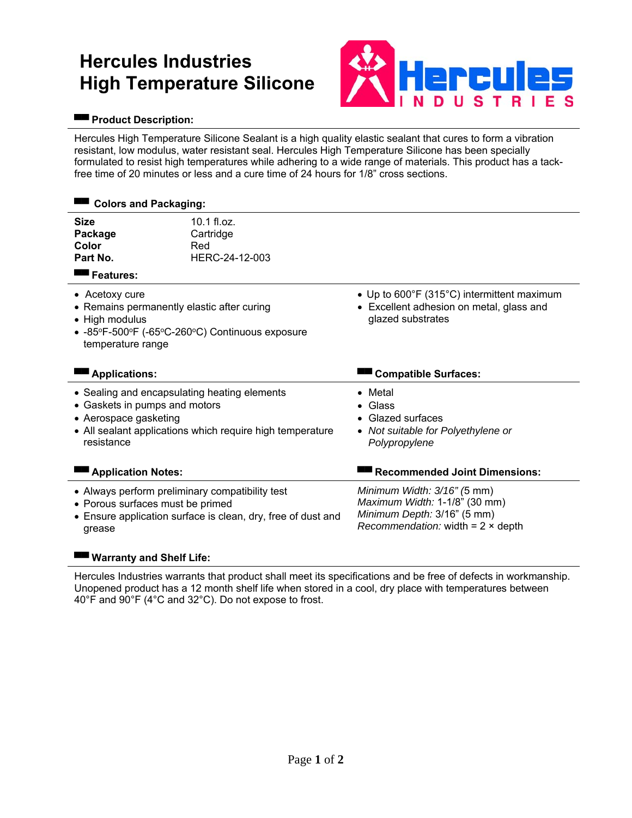# **Hercules Industries High Temperature Silicone**



### **▀▀ Product Description:**

Hercules High Temperature Silicone Sealant is a high quality elastic sealant that cures to form a vibration resistant, low modulus, water resistant seal. Hercules High Temperature Silicone has been specially formulated to resist high temperatures while adhering to a wide range of materials. This product has a tackfree time of 20 minutes or less and a cure time of 24 hours for 1/8" cross sections.

| <b>Colors and Packaging:</b>                                                                                                                                                      |                                                              |                                                                                                                                         |  |  |  |  |
|-----------------------------------------------------------------------------------------------------------------------------------------------------------------------------------|--------------------------------------------------------------|-----------------------------------------------------------------------------------------------------------------------------------------|--|--|--|--|
| <b>Size</b><br>Package<br>Color<br>Part No.<br>Features:                                                                                                                          | $10.1$ fl.oz.<br>Cartridge<br>Red<br>HERC-24-12-003          |                                                                                                                                         |  |  |  |  |
| • Acetoxy cure<br>• Remains permanently elastic after curing<br>• High modulus<br>• -85°F-500°F (-65°C-260°C) Continuous exposure<br>temperature range                            |                                                              | • Up to 600°F (315°C) intermittent maximum<br>• Excellent adhesion on metal, glass and<br>glazed substrates                             |  |  |  |  |
| <b>Applications:</b>                                                                                                                                                              |                                                              | <b>Compatible Surfaces:</b>                                                                                                             |  |  |  |  |
| • Sealing and encapsulating heating elements<br>• Gaskets in pumps and motors<br>• Aerospace gasketing<br>• All sealant applications which require high temperature<br>resistance |                                                              | • Metal<br>$\bullet$ Glass<br>• Glazed surfaces<br>• Not suitable for Polyethylene or<br>Polypropylene                                  |  |  |  |  |
| <b>Application Notes:</b>                                                                                                                                                         |                                                              | <b>Recommended Joint Dimensions:</b>                                                                                                    |  |  |  |  |
| • Always perform preliminary compatibility test<br>• Porous surfaces must be primed<br>grease                                                                                     | • Ensure application surface is clean, dry, free of dust and | Minimum Width: 3/16" (5 mm)<br>Maximum Width: 1-1/8" (30 mm)<br>Minimum Depth: 3/16" (5 mm)<br>Recommendation: width = $2 \times$ depth |  |  |  |  |

## **▀▀ Warranty and Shelf Life:**

Hercules Industries warrants that product shall meet its specifications and be free of defects in workmanship. Unopened product has a 12 month shelf life when stored in a cool, dry place with temperatures between 40°F and 90°F (4°C and 32°C). Do not expose to frost.